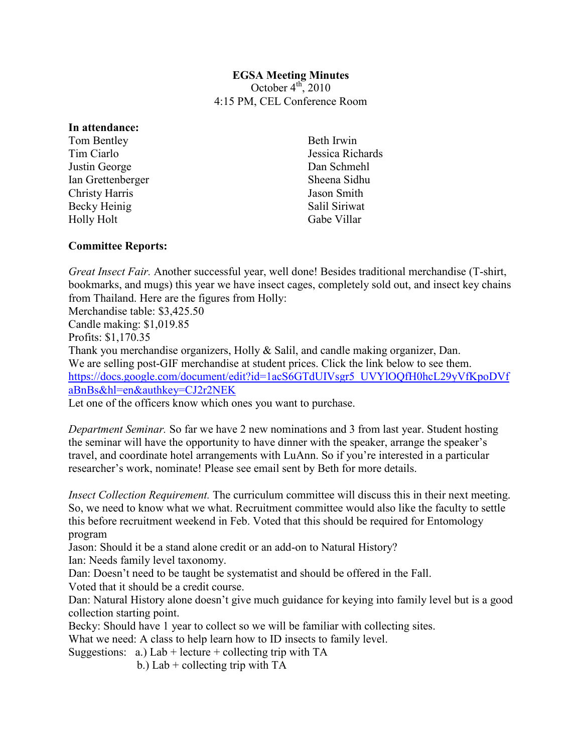## **EGSA Meeting Minutes**  October  $4^{\text{th}}$ , 2010 4:15 PM, CEL Conference Room

## **In attendance:**

Tom Bentley Tim Ciarlo Justin George Ian Grettenberger Christy Harris Becky Heinig Holly Holt

Beth Irwin Jessica Richards Dan Schmehl Sheena Sidhu Jason Smith Salil Siriwat Gabe Villar

## **Committee Reports:**

*Great Insect Fair.* Another successful year, well done! Besides traditional merchandise (T-shirt, bookmarks, and mugs) this year we have insect cages, completely sold out, and insect key chains from Thailand. Here are the figures from Holly:

Merchandise table: \$3,425.50 Candle making: \$1,019.85 Profits: \$1,170.35 Thank you merchandise organizers, Holly & Salil, and candle making organizer, Dan. We are selling post-GIF merchandise at student prices. Click the link below to see them. [https://docs.google.com/document/edit?id=1acS6GTdUIVsgr5\\_UVYlOQfH0hcL29yVfKpoDV](https://docs.google.com/document/edit?id=1acS6GTdUIVsgr5_UVYlOQfH0hcL29yVfKpoDVfaBnBs&hl=en&authkey=CJ2r2NEK)f [aBnBs&hl=en&authkey=CJ2r2NEK](https://docs.google.com/document/edit?id=1acS6GTdUIVsgr5_UVYlOQfH0hcL29yVfKpoDVfaBnBs&hl=en&authkey=CJ2r2NEK)

Let one of the officers know which ones you want to purchase.

*Department Seminar.* So far we have 2 new nominations and 3 from last year. Student hosting the seminar will have the opportunity to have dinner with the speaker, arrange the speaker's travel, and coordinate hotel arrangements with LuAnn. So if you're interested in a particular researcher's work, nominate! Please see email sent by Beth for more details.

*Insect Collection Requirement.* The curriculum committee will discuss this in their next meeting. So, we need to know what we what. Recruitment committee would also like the faculty to settle this before recruitment weekend in Feb. Voted that this should be required for Entomology program

Jason: Should it be a stand alone credit or an add-on to Natural History?

Ian: Needs family level taxonomy.

Dan: Doesn't need to be taught be systematist and should be offered in the Fall.

Voted that it should be a credit course.

Dan: Natural History alone doesn't give much guidance for keying into family level but is a good collection starting point.

Becky: Should have 1 year to collect so we will be familiar with collecting sites.

What we need: A class to help learn how to ID insects to family level.

Suggestions:  $a.$ ) Lab + lecture + collecting trip with TA

b.) Lab + collecting trip with TA